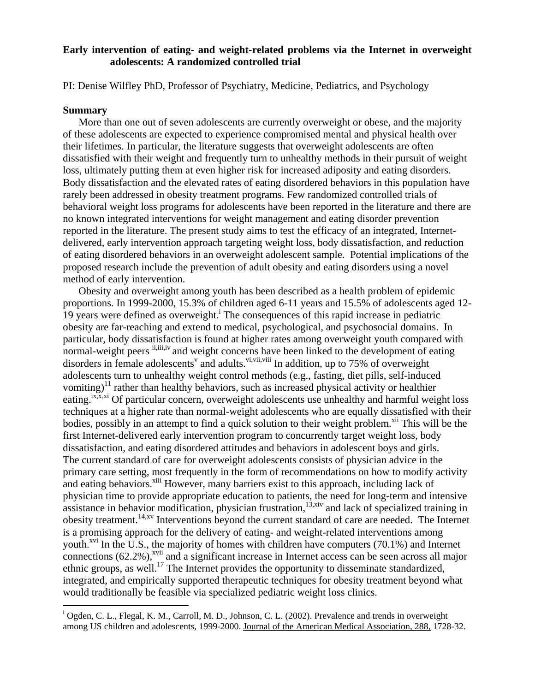## **Early intervention of eating- and weight-related problems via the Internet in overweight adolescents: A randomized controlled trial**

PI: Denise Wilfley PhD, Professor of Psychiatry, Medicine, Pediatrics, and Psychology

## **Summary**

 $\overline{a}$ 

More than one out of seven adolescents are currently overweight or obese, and the majority of these adolescents are expected to experience compromised mental and physical health over their lifetimes. In particular, the literature suggests that overweight adolescents are often dissatisfied with their weight and frequently turn to unhealthy methods in their pursuit of weight loss, ultimately putting them at even higher risk for increased adiposity and eating disorders. Body dissatisfaction and the elevated rates of eating disordered behaviors in this population have rarely been addressed in obesity treatment programs. Few randomized controlled trials of behavioral weight loss programs for adolescents have been reported in the literature and there are no known integrated interventions for weight management and eating disorder prevention reported in the literature. The present study aims to test the efficacy of an integrated, Internetdelivered, early intervention approach targeting weight loss, body dissatisfaction, and reduction of eating disordered behaviors in an overweight adolescent sample. Potential implications of the proposed research include the prevention of adult obesity and eating disorders using a novel method of early intervention.

Obesity and overweight among youth has been described as a health problem of epidemic proportions. In 1999-2000, 15.3% of children aged 6-11 years and 15.5% of adolescents aged 12-  $19$ years were defined as overweight.<sup>i</sup> The consequences of this rapid increase in pediatric obesity are far-reaching and extend to medical, psychological, and psychosocial domains. In particular, body dissatisfaction is found at higher rates among overweight youth compared with normal-weightpeers  $\mathbf{i}_{i}$ ,  $\mathbf{i}_{i}$ ,  $\mathbf{i}_{i}$ ,  $\mathbf{i}_{i}$  and weight concerns have been linked to the development of eating disorders in female adolescents<sup>[v](#page-1-4)</sup> and adults.<sup>[vi,](#page-1-5) vii, viii</sup> In addition, up to 75% of overweight adolescents turn to unhealthy weight control methods (e.g., fasting, diet pills, self-induced vomiting)<sup>11</sup> rather than healthy behaviors, such as increased physical activity or healthier eating.<sup>ix,x,xi</sup> Of particular concern, overweight adolescents use unhealthy and harmful weight loss techniques at a higher rate than normal-weight adolescents who are equally dissatisfied with their bodies, possibly in an attempt to find a quick solution to their weight problem.<sup>xii</sup> This will be the first Internet-delivered early intervention program to concurrently target weight loss, body dissatisfaction, and eating disordered attitudes and behaviors in adolescent boys and girls. The current standard of care for overweight adolescents consists of physician advice in the primary care setting, most frequently in the form of recommendations on how to modify activity and eating behaviors.<sup>xiii</sup> However, many barriers exist to this approach, including lack of physician time to provide appropriate education to patients, the need for long-term and intensive  $\frac{1}{2}$  assistance in behavior modification, physician frustration,<sup>13,xiv</sup> and lack of specialized training in obesity treatment.14,[xv](#page-1-14) Interventions beyond the current standard of care are needed. The Internet is a promising approach for the delivery of eating- and weight-related interventions among youth.<sup> $xvi$ </sup> In the U.S., the majority of homes with children have computers (70.1%) and Internet connections  $(62.2\%)$ ,<sup>xvii</sup> and a significant increase in Internet access can be seen across all major ethnic groups, as well.<sup>17</sup> The Internet provides the opportunity to disseminate standardized, integrated, and empirically supported therapeutic techniques for obesity treatment beyond what would traditionally be feasible via specialized pediatric weight loss clinics.

<sup>&</sup>lt;sup>i</sup> Ogden, C. L., Flegal, K. M., Carroll, M. D., Johnson, C. L. (2002). Prevalence and trends in overweight among US children and adolescents, 1999-2000. Journal of the American Medical Association, 288, 1728-32.